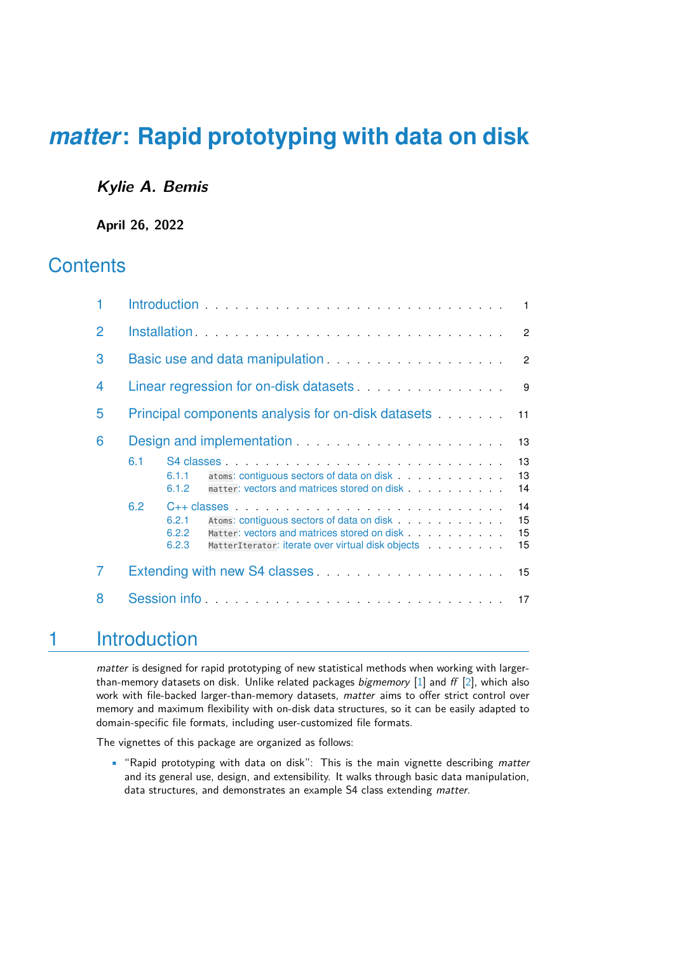### **Kylie A. Bemis**

**April 26, 2022**

## **Contents**

|                | $\overline{1}$                                                                                                                                                                                                                                                                                |  |  |  |  |  |  |  |
|----------------|-----------------------------------------------------------------------------------------------------------------------------------------------------------------------------------------------------------------------------------------------------------------------------------------------|--|--|--|--|--|--|--|
| $\overline{2}$ | $\overline{2}$                                                                                                                                                                                                                                                                                |  |  |  |  |  |  |  |
| 3              | $\overline{2}$                                                                                                                                                                                                                                                                                |  |  |  |  |  |  |  |
| 4              | Linear regression for on-disk datasets<br>9                                                                                                                                                                                                                                                   |  |  |  |  |  |  |  |
| 5              | Principal components analysis for on-disk datasets<br>11                                                                                                                                                                                                                                      |  |  |  |  |  |  |  |
| 6              | 13                                                                                                                                                                                                                                                                                            |  |  |  |  |  |  |  |
|                | 13<br>6.1<br>13<br>6.1.1<br>14<br>6.1.2                                                                                                                                                                                                                                                       |  |  |  |  |  |  |  |
|                | 6.2<br>$C++$ classes $\qquad \qquad \ldots \qquad \qquad \ldots \qquad \ldots \qquad \ldots \qquad \ldots \qquad \ldots \qquad \ldots$<br>14<br>15<br>6.2.1<br>Matter: vectors and matrices stored on disk<br>15<br>6.2.2<br>15<br>6.2.3<br>MatterIterator: iterate over virtual disk objects |  |  |  |  |  |  |  |
| 7              | 15                                                                                                                                                                                                                                                                                            |  |  |  |  |  |  |  |
| 8              | Session information and the service of the service of the service of the service of the service of the service of the service of the service of the service of the service of the service of the service of the service of the                                                                |  |  |  |  |  |  |  |

## <span id="page-0-0"></span>1 Introduction

matter is designed for rapid prototyping of new statistical methods when working with largerthan-memory datasets on disk. Unlike related packages *bigmemory* [\[1\]](#page-17-0) and  $ff$  [\[2\]](#page-17-1), which also work with file-backed larger-than-memory datasets, matter aims to offer strict control over memory and maximum flexibility with on-disk data structures, so it can be easily adapted to domain-specific file formats, including user-customized file formats.

The vignettes of this package are organized as follows:

• "Rapid prototyping with data on disk": This is the main vignette describing matter and its general use, design, and extensibility. It walks through basic data manipulation, data structures, and demonstrates an example S4 class extending matter.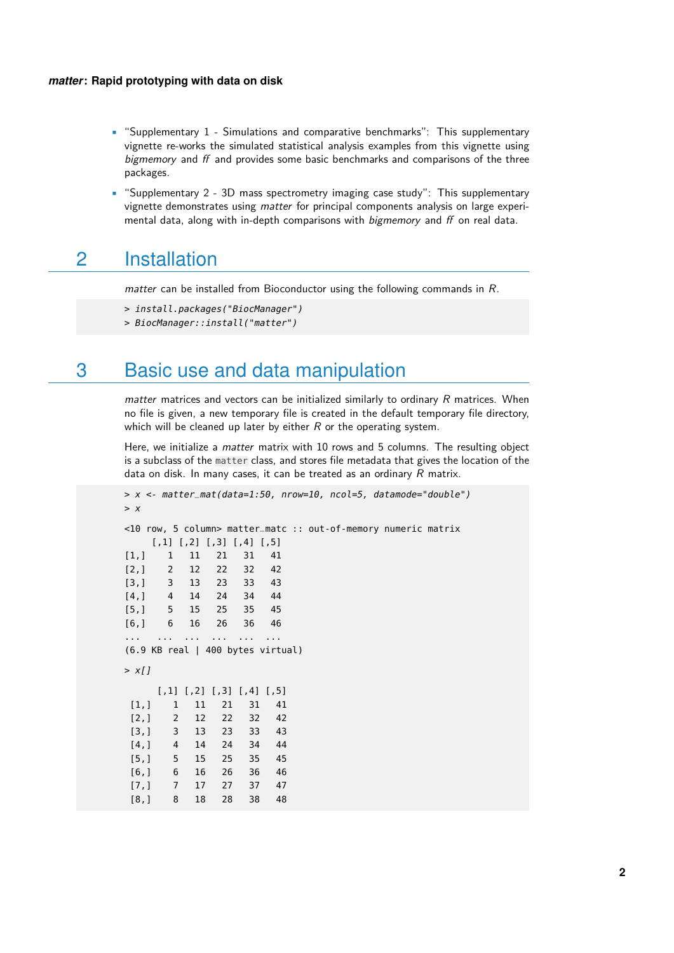- "Supplementary 1 Simulations and comparative benchmarks": This supplementary vignette re-works the simulated statistical analysis examples from this vignette using bigmemory and ff and provides some basic benchmarks and comparisons of the three packages.
- "Supplementary 2 3D mass spectrometry imaging case study": This supplementary vignette demonstrates using matter for principal components analysis on large experimental data, along with in-depth comparisons with bigmemory and ff on real data.

## <span id="page-1-0"></span>2 Installation

matter can be installed from Bioconductor using the following commands in R.

> install.packages("BiocManager")

<span id="page-1-1"></span>> BiocManager::install("matter")

## 3 Basic use and data manipulation

matter matrices and vectors can be initialized similarly to ordinary  $R$  matrices. When no file is given, a new temporary file is created in the default temporary file directory, which will be cleaned up later by either  $R$  or the operating system.

Here, we initialize a *matter* matrix with 10 rows and 5 columns. The resulting object is a subclass of the matter class, and stores file metadata that gives the location of the data on disk. In many cases, it can be treated as an ordinary  $R$  matrix.

```
> x <- matter_mat(data=1:50, nrow=10, ncol=5, datamode="double")
> x<10 row, 5 column> matter_matc :: out-of-memory numeric matrix
   [,1] [,2] [,3] [,4] [,5]
[1,] 1 11 21 31 41
[2,] 2 12 22 32 42
[3,] 3 13 23 33 43
[4,] 4 14 24 34 44
[5,] 5 15 25 35 45
[6,] 6 16 26 36 46
... ... ... ... ... ...
(6.9 KB real | 400 bytes virtual)
> x[j][1,1] [2] [3] [4] [5][1,] 1 11 21 31 41
[2,] 2 12 22 32 42
[3,] 3 13 23 33 43
[4,] 4 14 24 34 44
[5,] 5 15 25 35 45
[6,] 6 16 26 36 46
[7,] 7 17 27 37 47
[8,] 8 18 28 38 48
```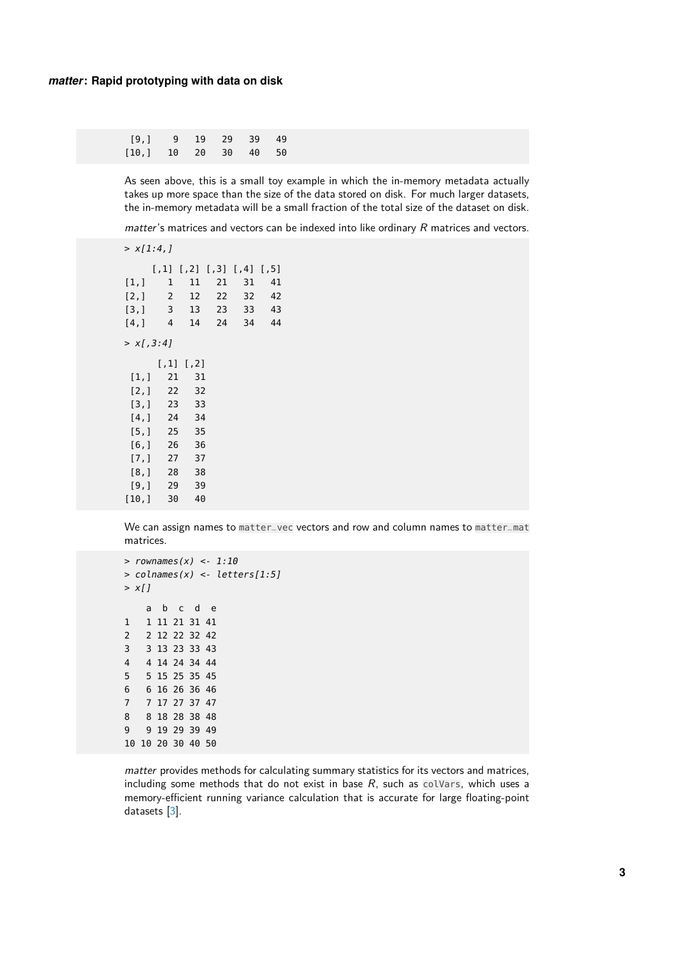| [9, 19, 19, 29, 39, 49] |  |  |  |
|-------------------------|--|--|--|
| [10.] 10 20 30 40 50    |  |  |  |

As seen above, this is a small toy example in which the in-memory metadata actually takes up more space than the size of the data stored on disk. For much larger datasets, the in-memory metadata will be a small fraction of the total size of the dataset on disk.

 $matter's$  matrices and vectors can be indexed into like ordinary  $R$  matrices and vectors.

| > x[1:4]  |                                 |                 |    |            |        |  |  |  |
|-----------|---------------------------------|-----------------|----|------------|--------|--|--|--|
|           | $[1,1]$ $[1,2]$ $[1,3]$ $[1,4]$ |                 |    |            | [7, 5] |  |  |  |
| [1,]      | $\mathbf{1}$                    | 11              | 21 | 31         | 41     |  |  |  |
| [2,]      | $\overline{2}$                  | 12              |    | 22 32      | 42     |  |  |  |
| [3,]      | $\overline{\mathbf{3}}$         |                 |    | 13 23 33   | 43     |  |  |  |
| [4,]      | $\overline{4}$                  |                 |    | 14  24  34 | 44     |  |  |  |
| > x1.3:41 |                                 |                 |    |            |        |  |  |  |
|           |                                 | $[1,1]$ $[1,2]$ |    |            |        |  |  |  |
| [1,]      | 21                              | 31              |    |            |        |  |  |  |
| [2,]      |                                 | 22 32           |    |            |        |  |  |  |
| [3,]      | 23                              | 33              |    |            |        |  |  |  |
| [4,1]     |                                 | 24 34           |    |            |        |  |  |  |
| [5,]      | 25                              | 35              |    |            |        |  |  |  |
| [6, ]     | 26                              | 36              |    |            |        |  |  |  |
| [7,]      | 27                              | 37              |    |            |        |  |  |  |
| [8,1      | 28                              | 38              |    |            |        |  |  |  |
| [9,1      | 29                              | 39              |    |            |        |  |  |  |
| [10,]     | 30                              | 40              |    |            |        |  |  |  |

We can assign names to matter\_vec vectors and row and column names to matter\_mat matrices.

```
> rownames(x) <- 1:10
> colnames(x) <- letters[1:5]
> x[j]a b c d e
1 1 11 21 31 41
2 2 12 22 32 42
3 3 13 23 33 43
4 4 14 24 34 44
5 5 15 25 35 45
6 6 16 26 36 46
7 7 17 27 37 47
8 8 18 28 38 48
9 9 19 29 39 49
10 10 20 30 40 50
```
matter provides methods for calculating summary statistics for its vectors and matrices, including some methods that do not exist in base  $R$ , such as colVars, which uses a memory-efficient running variance calculation that is accurate for large floating-point datasets [\[3\]](#page-17-2).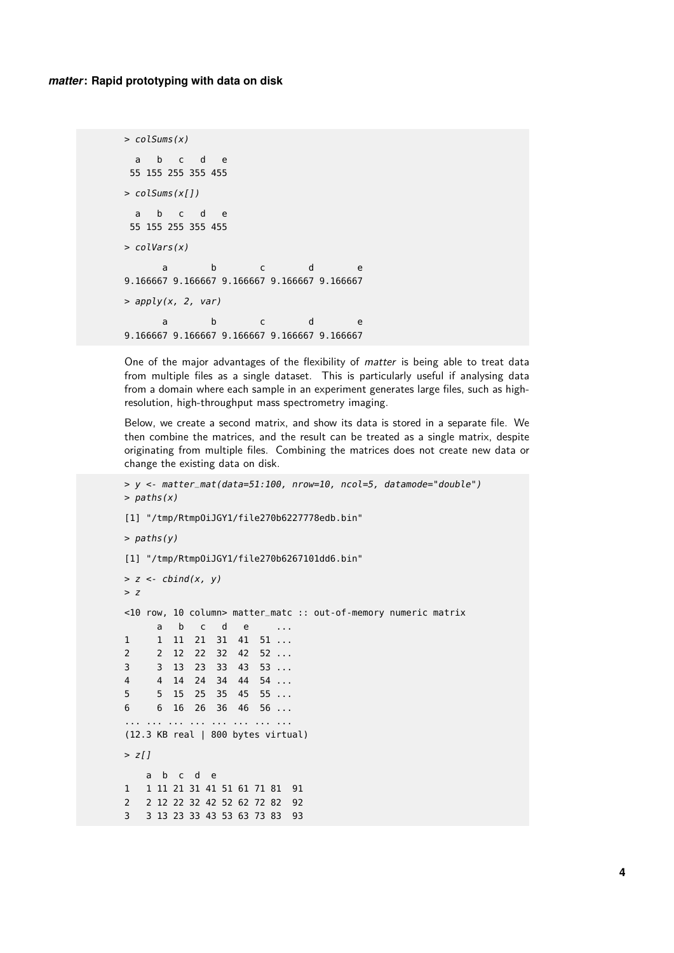```
> colSums(x)
 a b c d e
55 155 255 355 455
> colSums(x[])
a b c d e
55 155 255 355 455
> colVars(x)
     a b c d e
9.166667 9.166667 9.166667 9.166667 9.166667
> apply(x, 2, var)
     a b c d e
9.166667 9.166667 9.166667 9.166667 9.166667
```
One of the major advantages of the flexibility of *matter* is being able to treat data from multiple files as a single dataset. This is particularly useful if analysing data from a domain where each sample in an experiment generates large files, such as highresolution, high-throughput mass spectrometry imaging.

Below, we create a second matrix, and show its data is stored in a separate file. We then combine the matrices, and the result can be treated as a single matrix, despite originating from multiple files. Combining the matrices does not create new data or change the existing data on disk.

```
> y <- matter_mat(data=51:100, nrow=10, ncol=5, datamode="double")
> paths(x)
[1] "/tmp/RtmpOiJGY1/file270b6227778edb.bin"
> paths(y)
[1] "/tmp/RtmpOiJGY1/file270b6267101dd6.bin"
> z <- cbind(x, y)
> z<10 row, 10 column> matter_matc :: out-of-memory numeric matrix
     a b c d e ...
1 1 11 21 31 41 51 ...
2 2 12 22 32 42 52 ...
3 3 13 23 33 43 53 ...
4 4 14 24 34 44 54 ...
5 5 15 25 35 45 55 ...
6 6 16 26 36 46 56 ...
... ... ... ... ... ... ... ...
(12.3 KB real | 800 bytes virtual)
> z[j]a b c d e
1 1 11 21 31 41 51 61 71 81 91
2 2 12 22 32 42 52 62 72 82 92
3 3 13 23 33 43 53 63 73 83 93
```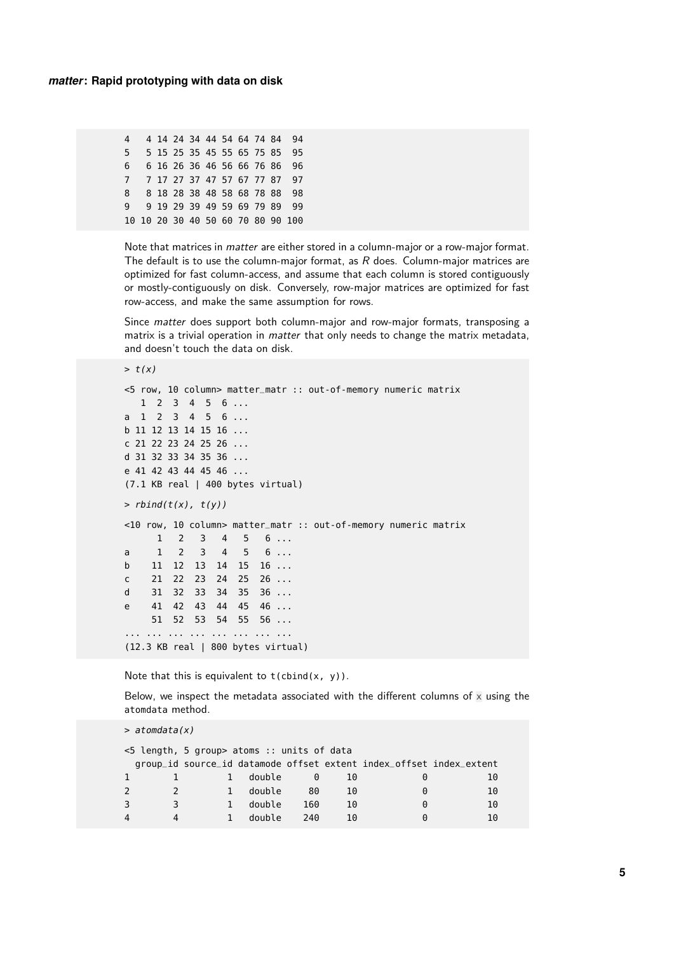| 4 |  |  |  |  | 4 14 24 34 44 54 64 74 84 94      |  |
|---|--|--|--|--|-----------------------------------|--|
| 5 |  |  |  |  | 5 15 25 35 45 55 65 75 85 95      |  |
| 6 |  |  |  |  | 6 16 26 36 46 56 66 76 86 96      |  |
|   |  |  |  |  | 7 7 17 27 37 47 57 67 77 87 97    |  |
| 8 |  |  |  |  | 8 18 28 38 48 58 68 78 88 98      |  |
| Q |  |  |  |  | 9 19 29 39 49 59 69 79 89 99      |  |
|   |  |  |  |  | 10 10 20 30 40 50 60 70 80 90 100 |  |

Note that matrices in *matter* are either stored in a column-major or a row-major format. The default is to use the column-major format, as  $R$  does. Column-major matrices are optimized for fast column-access, and assume that each column is stored contiguously or mostly-contiguously on disk. Conversely, row-major matrices are optimized for fast row-access, and make the same assumption for rows.

Since matter does support both column-major and row-major formats, transposing a matrix is a trivial operation in *matter* that only needs to change the matrix metadata, and doesn't touch the data on disk.

```
> t(x)<5 row, 10 column> matter_matr :: out-of-memory numeric matrix
  1 2 3 4 5 6 ...
a 1 2 3 4 5 6 ...
b 11 12 13 14 15 16 ...
c 21 22 23 24 25 26 ...
d 31 32 33 34 35 36 ...
e 41 42 43 44 45 46 ...
(7.1 KB real | 400 bytes virtual)
> rbind(t(x), t(y))<10 row, 10 column> matter_matr :: out-of-memory numeric matrix
    1 2 3 4 5 6 ...
a 1 2 3 4 5 6 ...
b 11 12 13 14 15 16 ...
c 21 22 23 24 25 26 ...
d 31 32 33 34 35 36 ...
e 41 42 43 44 45 46 ...
    51 52 53 54 55 56 ...
... ... ... ... ... ... ... ...
(12.3 KB real | 800 bytes virtual)
```
Note that this is equivalent to  $t$  (cbind(x, y)).

Below, we inspect the metadata associated with the different columns of  $\times$  using the atomdata method.

```
> atomdata(x)
<5 length, 5 group> atoms :: units of data
 group_id source_id datamode offset extent index_offset index_extent
1 1 1 double 0 10 0 10
2 2 1 double 80 10 0 10
3 3 1 double 160 10 0 10
4 4 1 double 240 10 0 10
```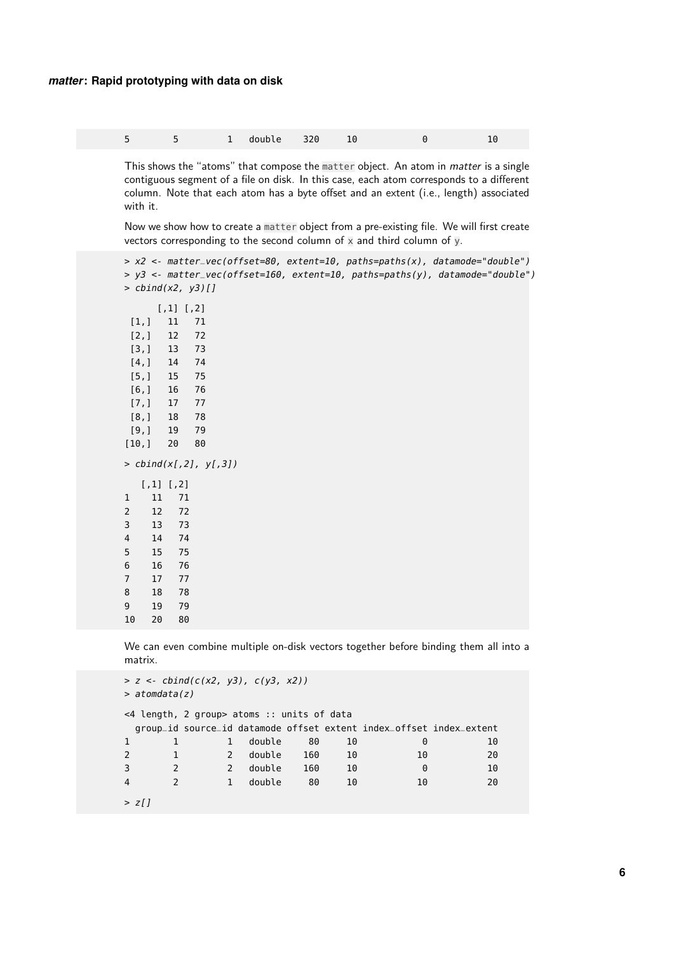|  |  |  | $\begin{array}{cccc} 1 & \text{double} & 320 & 10 \end{array}$ |  |  |  | 10 |
|--|--|--|----------------------------------------------------------------|--|--|--|----|
|--|--|--|----------------------------------------------------------------|--|--|--|----|

This shows the "atoms" that compose the matter object. An atom in matter is a single contiguous segment of a file on disk. In this case, each atom corresponds to a different column. Note that each atom has a byte offset and an extent (i.e., length) associated with it.

Now we show how to create a matter object from a pre-existing file. We will first create vectors corresponding to the second column of  $x$  and third column of  $y$ .

```
> x2 <- matter_vec(offset=80, extent=10, paths=paths(x), datamode="double")
> y3 <- matter_vec(offset=160, extent=10, paths=paths(y), datamode="double")
> cbind(x2, y3)[]
     [,1] [,2]
 [1,] 11 71
 [2,] 12 72
 [3,] 13 73
 [4,] 14 74
 [5,] 15 75
 [6,] 16 76
 [7,] 17 77
 [8,] 18 78
 [9,] 19 79
[10,] 20 80
> cbind(x[,2], y[,3])
  [,1] [,2]
1 11 71
2 12 72
3 13 73
4 14 74
5 15 75
6 16 76
7 17 77
8 18 78
9 19 79
10 20 80
```
We can even combine multiple on-disk vectors together before binding them all into a matrix.

```
> z < - \text{cbind}(c(x2, y3), c(y3, x2))> atomdata(z)
<4 length, 2 group> atoms :: units of data
 group_id source_id datamode offset extent index_offset index_extent
1 1 1 double 80 10 0 10
2 1 2 double 160 10 10 20
3 2 2 double 160 10 0 10
4 2 1 double 80 10 10 20
> z[J]
```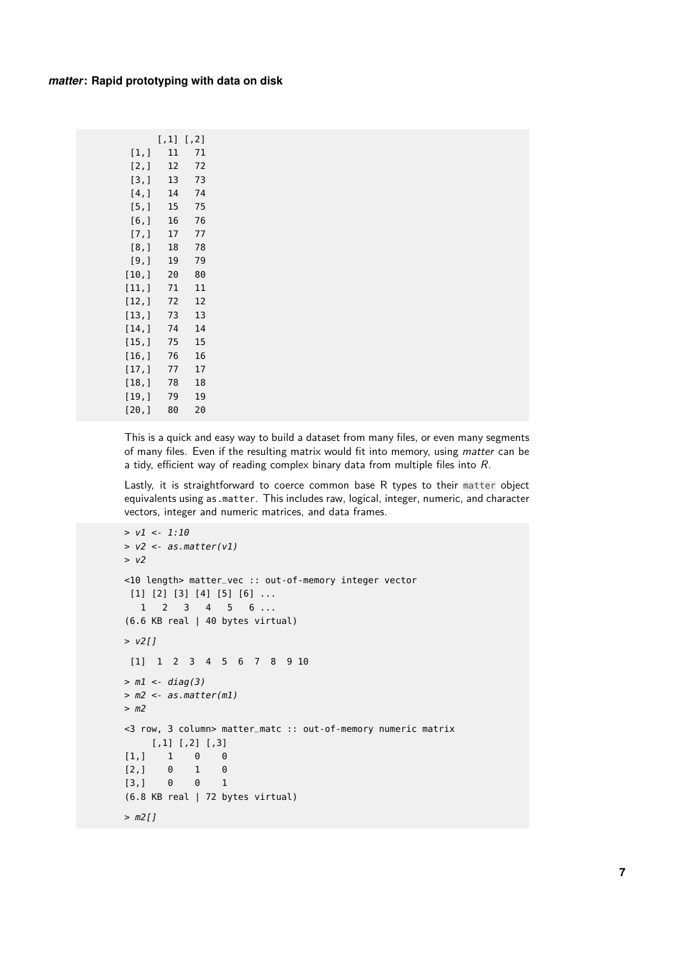|        | $[ ,1]$ | $[7,2]$ |
|--------|---------|---------|
| [1,]   | 11      | 71      |
| [2,]   | 12      | 72      |
| [3,]   | 13      | 73      |
| [4,]   | 14      | 74      |
| [5,]   | 15      | 75      |
| [6,]   | 16      | 76      |
| [7,]   | 17      | 77      |
| [8,]   | 18      | 78      |
| [9,]   | 19      | 79      |
| [10,]  | 20      | 80      |
| [11,]  | 71      | 11      |
| [12,]  | 72      | 12      |
| [13,]  | 73      | 13      |
| [14,]  | 74      | 14      |
| [15,1  | 75      | 15      |
| [16,1  | 76      | 16      |
| [17,1] | 77      | 17      |
| [18,]  | 78      | 18      |
| [19,]  | 79      | 19      |
| [20,]  | 80      | 20      |
|        |         |         |

This is a quick and easy way to build a dataset from many files, or even many segments of many files. Even if the resulting matrix would fit into memory, using matter can be a tidy, efficient way of reading complex binary data from multiple files into R.

Lastly, it is straightforward to coerce common base R types to their matter object equivalents using as.matter. This includes raw, logical, integer, numeric, and character vectors, integer and numeric matrices, and data frames.

```
> v1 < -1:10> v2 <- as.matter(v1)
> v2
<10 length> matter_vec :: out-of-memory integer vector
 [1] [2] [3] [4] [5] [6] ...
  1 2 3 4 5 6 ...
(6.6 KB real | 40 bytes virtual)
> v2[][1] 1 2 3 4 5 6 7 8 9 10
> m1 < -diag(3)> m2 < -as.matter(m1)> m2
<3 row, 3 column> matter_matc :: out-of-memory numeric matrix
    [,1] [,2] [,3]
[1,] 1 0 0
[2,] 0 1 0
[3,] 0 0 1
(6.8 KB real | 72 bytes virtual)
> m2[]
```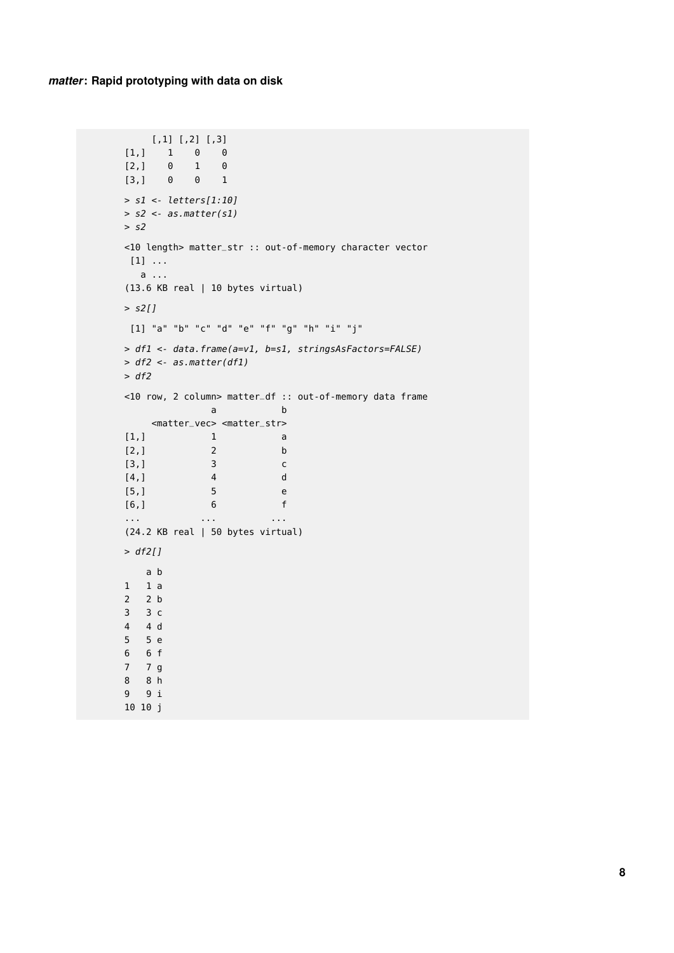```
[1,1] [2,2] [3,3][1,] 1 0 0
[2,] 0 1 0[3,] 0 0 1
> s1 <- letters[1:10]
> s2 <- as.matter(s1)
> s2<10 length> matter_str :: out-of-memory character vector
[1] ...
 a ...
(13.6 KB real | 10 bytes virtual)
> s2[]
[1] "a" "b" "c" "d" "e" "f" "g" "h" "i" "j"
> df1 <- data.frame(a=v1, b=s1, stringsAsFactors=FALSE)
> df2 <- as.matter(df1)
> df2<10 row, 2 column> matter_df :: out-of-memory data frame
        a b
  <matter_vec> <matter_str>
[1,] 1 a
[2,] 2 b
[3,] 3 c
[4,] 4 d
[5,] 5 e
[6,] 6 f
... ... ...
(24.2 KB real | 50 bytes virtual)
> df2[]a b
1 1 a
2 2 b
3 3 c
4 4 d
5 5 e
6 6 f
7 7 g
8 8 h
9 9 i
10 10 j
```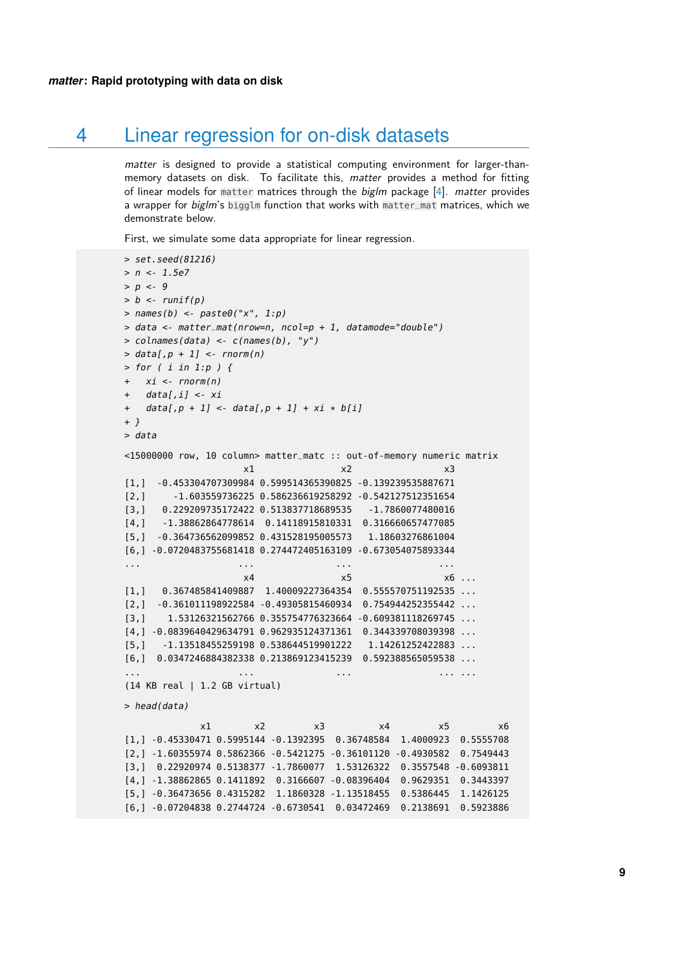## 4 Linear regression for on-disk datasets

matter is designed to provide a statistical computing environment for larger-thanmemory datasets on disk. To facilitate this, matter provides a method for fitting of linear models for matter matrices through the biglm package [\[4\]](#page-17-3). matter provides a wrapper for  $big/m$ 's bigglm function that works with matter\_mat matrices, which we demonstrate below.

First, we simulate some data appropriate for linear regression.

```
> set.seed(81216)
> n < -1.5e7> p < -9> b < -runif(p)
> names(b) <- paste\theta("x", 1:p)
> data <- matter_mat(nrow=n, ncol=p + 1, datamode="double")
> colnames(data) <- c(names(b), "y")
> data[, p + 1] <- rnorm(n)
> for ( i in 1:p ) {
+ xi \leftarrow rnorm(n)+ data[, i] \leftarrow xi+ data[, p + 1] < data[, p + 1] + xi * b[i]+ }
> data
<15000000 row, 10 column> matter_matc :: out-of-memory numeric matrix
                   x1 x2 x3[1,] -0.453304707309984 0.599514365390825 -0.139239535887671
[2,] -1.603559736225 0.586236619258292 -0.542127512351654
[3,] 0.229209735172422 0.513837718689535 -1.7860077480016
[4,] -1.38862864778614 0.14118915810331 0.316660657477085
[5,] -0.364736562099852 0.431528195005573 1.18603276861004
[6,] -0.0720483755681418 0.274472405163109 -0.673054075893344
... ... ... ...
                   x4 x5 x6 ...
[1,] 0.367485841409887 1.40009227364354 0.555570751192535 ...
[2,] -0.361011198922584 -0.49305815460934 0.754944252355442 ...
[3,] 1.53126321562766 0.355754776323664 -0.609381118269745 ...
[4,] -0.0839640429634791 0.962935124371361 0.344339708039398 ...
[5,] -1.13518455259198 0.538644519901222 1.14261252422883 ...
[6,] 0.0347246884382338 0.213869123415239 0.592388565059538 ...
... ... ... ... ...
(14 KB real | 1.2 GB virtual)
> head(data)
            x1 x2 x3 x4 x5 x6
[1,] -0.45330471 0.5995144 -0.1392395 0.36748584 1.4000923 0.5555708
[2,] -1.60355974 0.5862366 -0.5421275 -0.36101120 -0.4930582 0.7549443
[3,] 0.22920974 0.5138377 -1.7860077 1.53126322 0.3557548 -0.6093811
[4,] -1.38862865 0.1411892 0.3166607 -0.08396404 0.9629351 0.3443397
[5,] -0.36473656 0.4315282 1.1860328 -1.13518455 0.5386445 1.1426125
[6,] -0.07204838 0.2744724 -0.6730541 0.03472469 0.2138691 0.5923886
```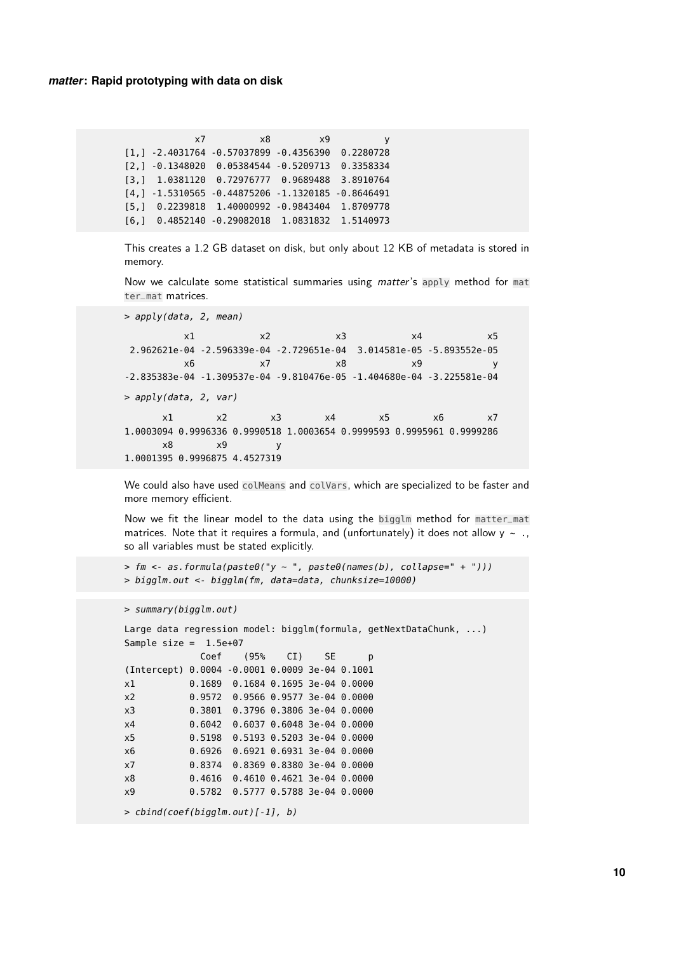x7 x8 x9 y [1,] -2.4031764 -0.57037899 -0.4356390 0.2280728 [2,] -0.1348020 0.05384544 -0.5209713 0.3358334 [3,] 1.0381120 0.72976777 0.9689488 3.8910764 [4,] -1.5310565 -0.44875206 -1.1320185 -0.8646491 [5,] 0.2239818 1.40000992 -0.9843404 1.8709778 [6,] 0.4852140 -0.29082018 1.0831832 1.5140973

This creates a 1.2 GB dataset on disk, but only about 12 KB of metadata is stored in memory.

Now we calculate some statistical summaries using matter's apply method for mat ter\_mat matrices.

> apply(data, 2, mean)

x1 x2 x3 x4 x5 2.962621e-04 -2.596339e-04 -2.729651e-04 3.014581e-05 -5.893552e-05 x6 x7 x8 x9 y -2.835383e-04 -1.309537e-04 -9.810476e-05 -1.404680e-04 -3.225581e-04 > apply(data, 2, var) x1 x2 x3 x4 x5 x6 x7 1.0003094 0.9996336 0.9990518 1.0003654 0.9999593 0.9995961 0.9999286 x8 x9 y 1.0001395 0.9996875 4.4527319

We could also have used colMeans and colVars, which are specialized to be faster and more memory efficient.

Now we fit the linear model to the data using the bigglm method for matter\_mat matrices. Note that it requires a formula, and (unfortunately) it does not allow  $y \sim .$ so all variables must be stated explicitly.

```
> fm \leq 2 as.formula(paste\theta("y \sim ", paste\theta(names(b), collapse=' + ");> bigglm.out <- bigglm(fm, data=data, chunksize=10000)
```

```
> summary(bigglm.out)
```

```
Large data regression model: bigglm(formula, getNextDataChunk, ...)
Sample size = 1.5e+07Coef (95% CI) SE p
(Intercept) 0.0004 -0.0001 0.0009 3e-04 0.1001
x1 0.1689 0.1684 0.1695 3e-04 0.0000
x2 0.9572 0.9566 0.9577 3e-04 0.0000
x3 0.3801 0.3796 0.3806 3e-04 0.0000
x4 0.6042 0.6037 0.6048 3e-04 0.0000
x5 0.5198 0.5193 0.5203 3e-04 0.0000
x6 0.6926 0.6921 0.6931 3e-04 0.0000
x7 0.8374 0.8369 0.8380 3e-04 0.0000
x8 0.4616 0.4610 0.4621 3e-04 0.0000
x9 0.5782 0.5777 0.5788 3e-04 0.0000
> cbind(coef(bigglm.out)[-1], b)
```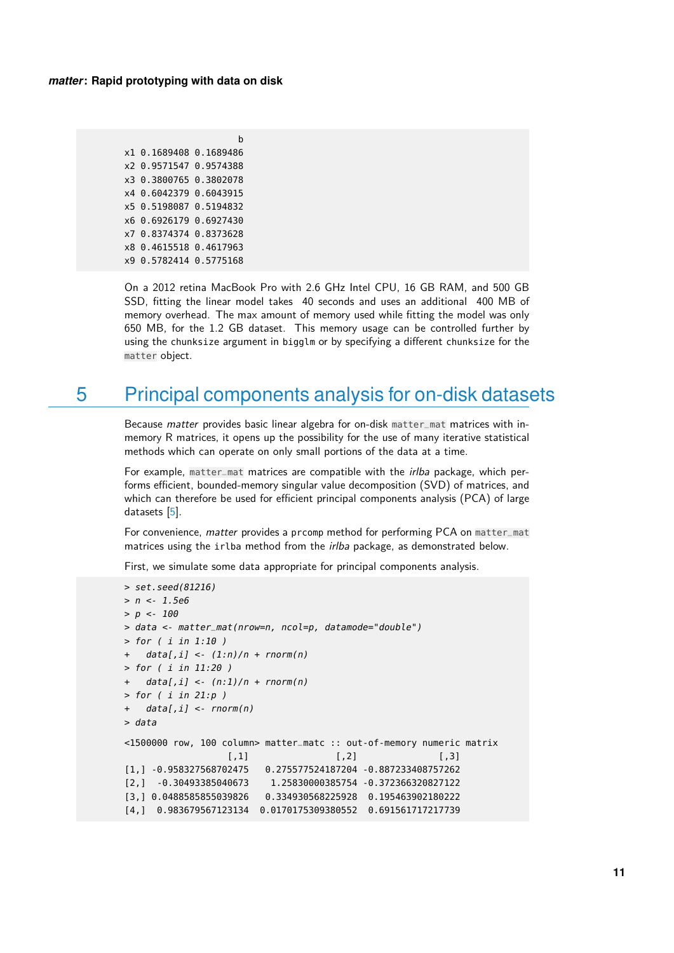b x1 0.1689408 0.1689486 x2 0.9571547 0.9574388 x3 0.3800765 0.3802078 x4 0.6042379 0.6043915 x5 0.5198087 0.5194832 x6 0.6926179 0.6927430 x7 0.8374374 0.8373628 x8 0.4615518 0.4617963 x9 0.5782414 0.5775168

On a 2012 retina MacBook Pro with 2.6 GHz Intel CPU, 16 GB RAM, and 500 GB SSD, fitting the linear model takes 40 seconds and uses an additional 400 MB of memory overhead. The max amount of memory used while fitting the model was only 650 MB, for the 1.2 GB dataset. This memory usage can be controlled further by using the chunksize argument in bigglm or by specifying a different chunksize for the matter object.

## <span id="page-10-0"></span>5 Principal components analysis for on-disk datasets

Because matter provides basic linear algebra for on-disk matter\_mat matrices with inmemory R matrices, it opens up the possibility for the use of many iterative statistical methods which can operate on only small portions of the data at a time.

For example, matter\_mat matrices are compatible with the *irlba* package, which performs efficient, bounded-memory singular value decomposition (SVD) of matrices, and which can therefore be used for efficient principal components analysis (PCA) of large datasets [\[5\]](#page-17-4).

For convenience, matter provides a prcomp method for performing PCA on matter\_mat matrices using the irlba method from the *irlba* package, as demonstrated below.

First, we simulate some data appropriate for principal components analysis.

```
> set.seed(81216)
> n < -1.5e6> p < -100> data <- matter_mat(nrow=n, ncol=p, datamode="double")
> for ( i in 1:10 )
+ data[, i] \leq (1:n)/n + rnorm(n)> for ( i in 11:20 )
+ data[,i] <- (n:1)/n + rnorm(n)
> for ( i in 21:p )
+ data[,i] <- rnorm(n)
> data
<1500000 row, 100 column> matter_matc :: out-of-memory numeric matrix
                 [,1] [,2] [,3]
[1,] -0.958327568702475 0.275577524187204 -0.887233408757262
[2,] -0.30493385040673 1.25830000385754 -0.372366320827122
[3,] 0.0488585855039826 0.334930568225928 0.195463902180222
[4,] 0.983679567123134 0.0170175309380552 0.691561717217739
```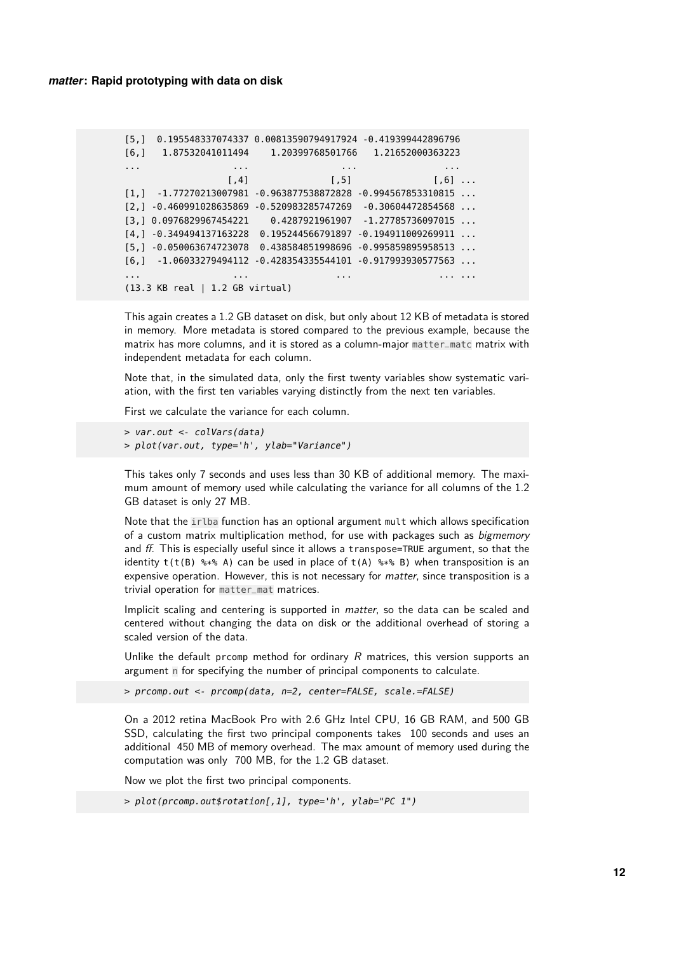```
[5,] 0.195548337074337 0.00813590794917924 -0.419399442896796
[6,] 1.87532041011494 1.20399768501766 1.21652000363223
... ... ... ...
                [ ,4] [,5] [,6] ...
[1,] -1.77270213007981 -0.963877538872828 -0.994567853310815 ...
[2,] -0.460991028635869 -0.520983285747269 -0.30604472854568 ...[3,] 0.0976829967454221 0.4287921961907 -1.27785736097015 ...
[4,] -0.349494137163228 \quad 0.195244566791897 \quad -0.194911009269911 \quad \ldots[5,] -0.050063674723078 0.438584851998696 -0.995859895958513 ...
[6,] -1.06033279494112 -0.428354335544101 -0.917993930577563 ...
... ... ... ... ...
(13.3 KB real | 1.2 GB virtual)
```
This again creates a 1.2 GB dataset on disk, but only about 12 KB of metadata is stored in memory. More metadata is stored compared to the previous example, because the matrix has more columns, and it is stored as a column-major matter\_matc matrix with independent metadata for each column.

Note that, in the simulated data, only the first twenty variables show systematic variation, with the first ten variables varying distinctly from the next ten variables.

First we calculate the variance for each column.

```
> var.out <- colVars(data)
> plot(var.out, type='h', ylab="Variance")
```
This takes only 7 seconds and uses less than 30 KB of additional memory. The maximum amount of memory used while calculating the variance for all columns of the 1.2 GB dataset is only 27 MB.

Note that the irlba function has an optional argument mult which allows specification of a custom matrix multiplication method, for use with packages such as *bigmemory* and  $ff$ . This is especially useful since it allows a transpose=TRUE argument, so that the identity  $t(t(B)$  %\*% A) can be used in place of  $t(A)$  %\*% B) when transposition is an expensive operation. However, this is not necessary for matter, since transposition is a trivial operation for matter\_mat matrices.

Implicit scaling and centering is supported in matter, so the data can be scaled and centered without changing the data on disk or the additional overhead of storing a scaled version of the data.

Unlike the default prcomp method for ordinary  $R$  matrices, this version supports an argument n for specifying the number of principal components to calculate.

> prcomp.out <- prcomp(data, n=2, center=FALSE, scale.=FALSE)

On a 2012 retina MacBook Pro with 2.6 GHz Intel CPU, 16 GB RAM, and 500 GB SSD, calculating the first two principal components takes 100 seconds and uses an additional 450 MB of memory overhead. The max amount of memory used during the computation was only 700 MB, for the 1.2 GB dataset.

Now we plot the first two principal components.

```
> plot(prcomp.out$rotation[,1], type='h', ylab="PC 1")
```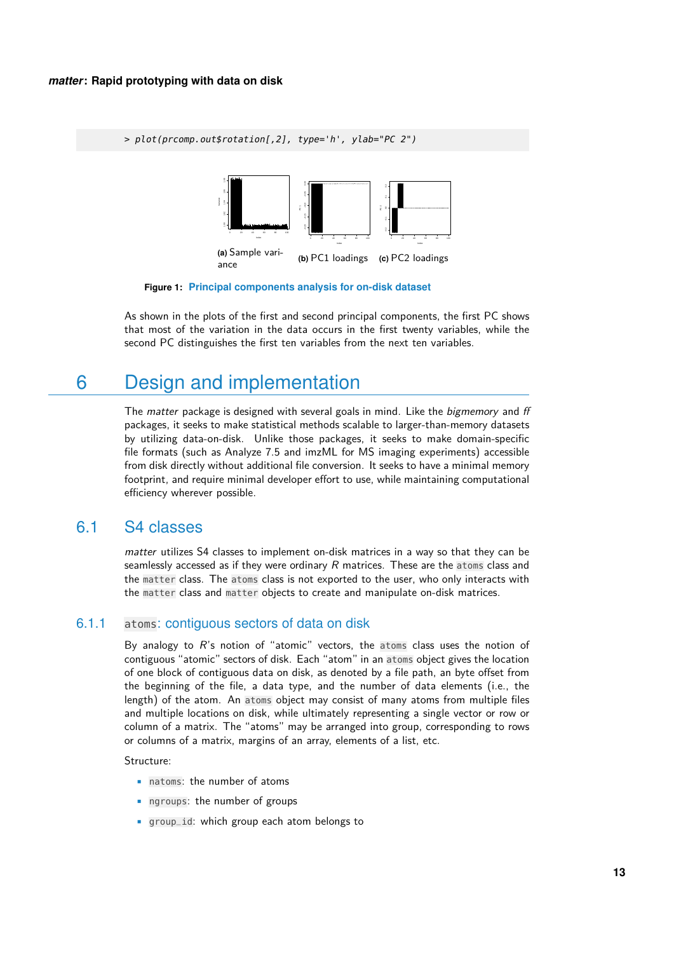> plot(prcomp.out\$rotation[,2], type='h', ylab="PC 2")



**Figure 1: Principal components analysis for on-disk dataset**

As shown in the plots of the first and second principal components, the first PC shows that most of the variation in the data occurs in the first twenty variables, while the second PC distinguishes the first ten variables from the next ten variables.

## <span id="page-12-0"></span>6 Design and implementation

The matter package is designed with several goals in mind. Like the *bigmemory* and ff packages, it seeks to make statistical methods scalable to larger-than-memory datasets by utilizing data-on-disk. Unlike those packages, it seeks to make domain-specific file formats (such as Analyze 7.5 and imzML for MS imaging experiments) accessible from disk directly without additional file conversion. It seeks to have a minimal memory footprint, and require minimal developer effort to use, while maintaining computational efficiency wherever possible.

### <span id="page-12-1"></span>6.1 S4 classes

matter utilizes S4 classes to implement on-disk matrices in a way so that they can be seamlessly accessed as if they were ordinary  $R$  matrices. These are the atoms class and the matter class. The atoms class is not exported to the user, who only interacts with the matter class and matter objects to create and manipulate on-disk matrices.

### <span id="page-12-2"></span>6.1.1 atoms: contiguous sectors of data on disk

By analogy to  $R$ 's notion of "atomic" vectors, the atoms class uses the notion of contiguous "atomic" sectors of disk. Each "atom" in an atoms object gives the location of one block of contiguous data on disk, as denoted by a file path, an byte offset from the beginning of the file, a data type, and the number of data elements (i.e., the length) of the atom. An atoms object may consist of many atoms from multiple files and multiple locations on disk, while ultimately representing a single vector or row or column of a matrix. The "atoms" may be arranged into group, corresponding to rows or columns of a matrix, margins of an array, elements of a list, etc.

Structure:

- natoms: the number of atoms
- ngroups: the number of groups
- group\_id: which group each atom belongs to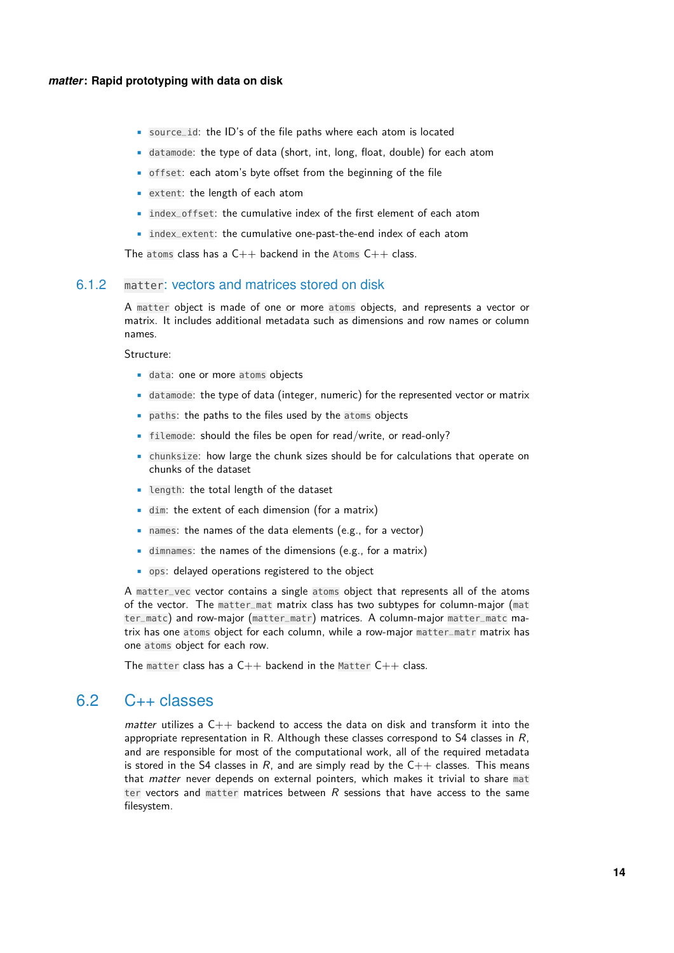- source\_id: the ID's of the file paths where each atom is located
- datamode: the type of data (short, int, long, float, double) for each atom
- offset: each atom's byte offset from the beginning of the file
- extent: the length of each atom
- index\_offset: the cumulative index of the first element of each atom
- index\_extent: the cumulative one-past-the-end index of each atom

The atoms class has a  $C++$  backend in the Atoms  $C++$  class.

#### <span id="page-13-0"></span>6.1.2 matter: vectors and matrices stored on disk

A matter object is made of one or more atoms objects, and represents a vector or matrix. It includes additional metadata such as dimensions and row names or column names.

Structure:

- data: one or more atoms objects
- datamode: the type of data (integer, numeric) for the represented vector or matrix
- paths: the paths to the files used by the atoms objects
- filemode: should the files be open for read/write, or read-only?
- chunksize: how large the chunk sizes should be for calculations that operate on chunks of the dataset
- length: the total length of the dataset
- dim: the extent of each dimension (for a matrix)
- names: the names of the data elements (e.g., for a vector)
- dimnames: the names of the dimensions (e.g., for a matrix)
- ops: delayed operations registered to the object

A matter\_vec vector contains a single atoms object that represents all of the atoms of the vector. The matter\_mat matrix class has two subtypes for column-major (mat ter\_matc) and row-major (matter\_matr) matrices. A column-major matter\_matc matrix has one atoms object for each column, while a row-major matter\_matr matrix has one atoms object for each row.

The matter class has a  $C++$  backend in the Matter  $C++$  class.

### <span id="page-13-1"></span>6.2 C++ classes

<span id="page-13-2"></span>matter utilizes a  $C_{++}$  backend to access the data on disk and transform it into the appropriate representation in R. Although these classes correspond to S4 classes in  $R$ , and are responsible for most of the computational work, all of the required metadata is stored in the S4 classes in R, and are simply read by the  $C++$  classes. This means that matter never depends on external pointers, which makes it trivial to share mat ter vectors and matter matrices between R sessions that have access to the same filesystem.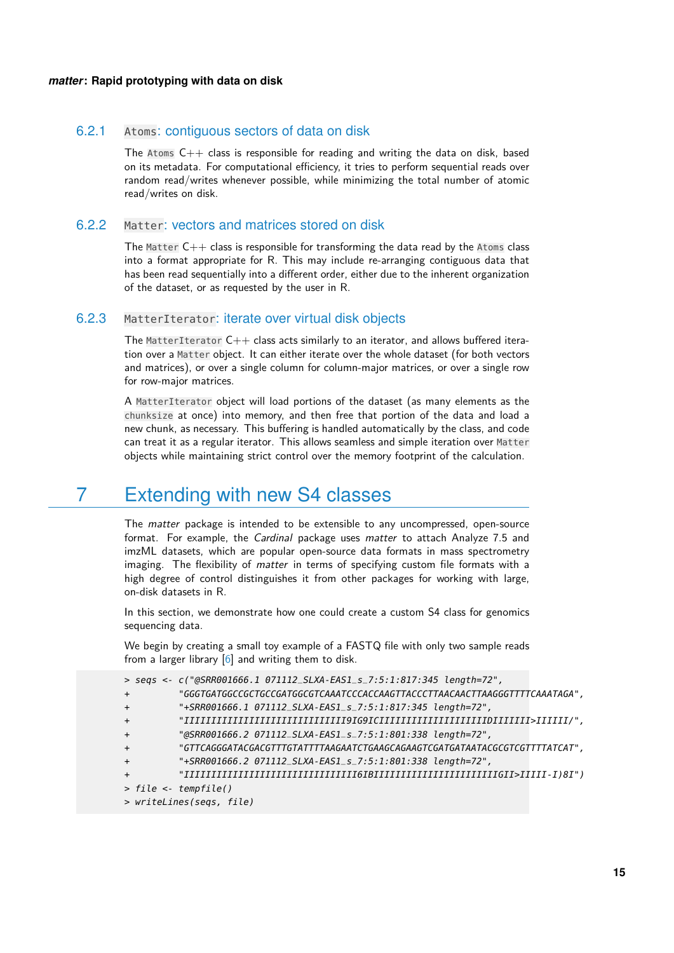### 6.2.1 Atoms: contiguous sectors of data on disk

The Atoms  $C++$  class is responsible for reading and writing the data on disk, based on its metadata. For computational efficiency, it tries to perform sequential reads over random read/writes whenever possible, while minimizing the total number of atomic read/writes on disk.

### <span id="page-14-0"></span>6.2.2 Matter: vectors and matrices stored on disk

The Matter  $C++$  class is responsible for transforming the data read by the Atoms class into a format appropriate for R. This may include re-arranging contiguous data that has been read sequentially into a different order, either due to the inherent organization of the dataset, or as requested by the user in R.

### <span id="page-14-1"></span>6.2.3 MatterIterator: iterate over virtual disk objects

The MatterIterator  $C++$  class acts similarly to an iterator, and allows buffered iteration over a Matter object. It can either iterate over the whole dataset (for both vectors and matrices), or over a single column for column-major matrices, or over a single row for row-major matrices.

A MatterIterator object will load portions of the dataset (as many elements as the chunksize at once) into memory, and then free that portion of the data and load a new chunk, as necessary. This buffering is handled automatically by the class, and code can treat it as a regular iterator. This allows seamless and simple iteration over Matter objects while maintaining strict control over the memory footprint of the calculation.

## <span id="page-14-2"></span>7 Extending with new S4 classes

The *matter* package is intended to be extensible to any uncompressed, open-source format. For example, the Cardinal package uses matter to attach Analyze 7.5 and imzML datasets, which are popular open-source data formats in mass spectrometry imaging. The flexibility of *matter* in terms of specifying custom file formats with a high degree of control distinguishes it from other packages for working with large, on-disk datasets in R.

In this section, we demonstrate how one could create a custom S4 class for genomics sequencing data.

We begin by creating a small toy example of a FASTQ file with only two sample reads from a larger library  $[6]$  and writing them to disk.

```
> seqs <- c("@SRR001666.1 071112_SLXA-EAS1_s_7:5:1:817:345 length=72",
+ "GGGTGATGGCCGCTGCCGATGGCGTCAAATCCCACCAAGTTACCCTTAACAACTTAAGGGTTTTCAAATAGA",
+ "+SRR001666.1 071112_SLXA-EAS1_s_7:5:1:817:345 length=72",
+ "IIIIIIIIIIIIIIIIIIIIIIIIIIIIII9IG9ICIIIIIIIIIIIIIIIIIIIIDIIIIIII>IIIIII/",
+ "@SRR001666.2 071112_SLXA-EAS1_s_7:5:1:801:338 length=72",
+ "GTTCAGGGATACGACGTTTGTATTTTAAGAATCTGAAGCAGAAGTCGATGATAATACGCGTCGTTTTATCAT",
+ "+SRR001666.2 071112_SLXA-EAS1_s_7:5:1:801:338 length=72",
         + "IIIIIIIIIIIIIIIIIIIIIIIIIIIIIIII6IBIIIIIIIIIIIIIIIIIIIIIIIGII>IIIII-I)8I")
> file <- tempfile()
> writeLines(seqs, file)
```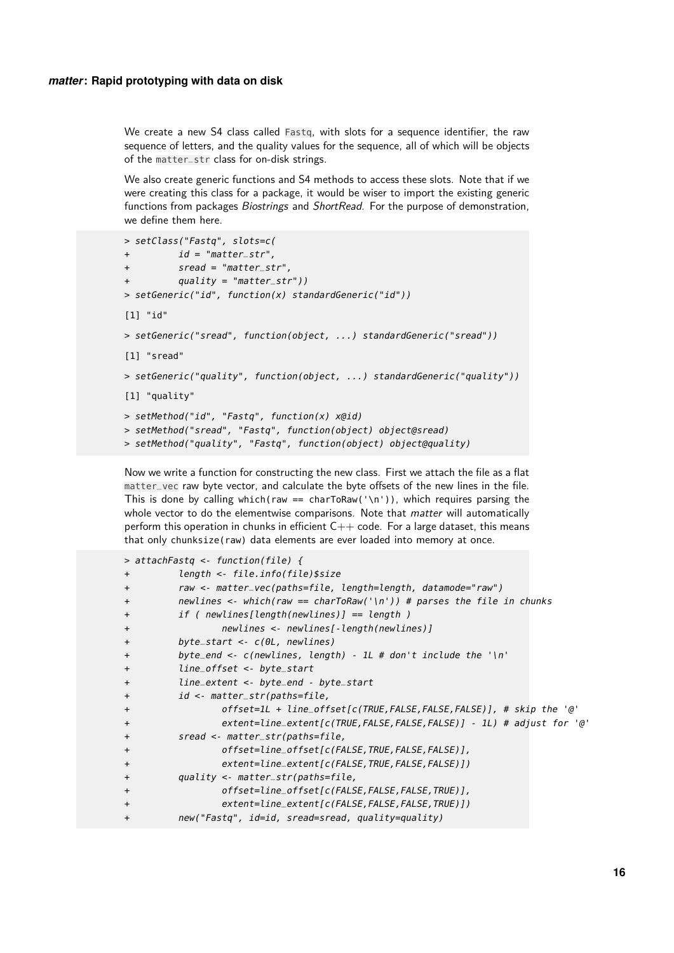We create a new S4 class called Fastq, with slots for a sequence identifier, the raw sequence of letters, and the quality values for the sequence, all of which will be objects of the matter\_str class for on-disk strings.

We also create generic functions and S4 methods to access these slots. Note that if we were creating this class for a package, it would be wiser to import the existing generic functions from packages Biostrings and ShortRead. For the purpose of demonstration, we define them here.

```
> setClass("Fastq", slots=c(
+ id = "matter_str",
+ sread = "matter_str",
+ quality = "matter_str"))
> setGeneric("id", function(x) standardGeneric("id"))
[1] "id"
> setGeneric("sread", function(object, ...) standardGeneric("sread"))
[1] "sread"
> setGeneric("quality", function(object, ...) standardGeneric("quality"))
[1] "quality"
> setMethod("id", "Fastq", function(x) x@id)
> setMethod("sread", "Fastq", function(object) object@sread)
> setMethod("quality", "Fastq", function(object) object@quality)
```
Now we write a function for constructing the new class. First we attach the file as a flat matter\_vec raw byte vector, and calculate the byte offsets of the new lines in the file. This is done by calling which(raw == charToRaw('\n')), which requires parsing the whole vector to do the elementwise comparisons. Note that *matter* will automatically perform this operation in chunks in efficient  $C++$  code. For a large dataset, this means that only chunksize(raw) data elements are ever loaded into memory at once.

```
> attachFastq <- function(file) {
+ length <- file.info(file)$size
+ raw <- matter_vec(paths=file, length=length, datamode="raw")
+ newlines <- which(raw == charToRaw('\n')) # parses the file in chunks
+ if ( newlines[length(newlines)] == length )
+ newlines <- newlines[-length(newlines)]
+ byte_start <- c(0L, newlines)
+ byte_end <- c(newlines, length) - 1L # don't include the '\n'
+ line_offset <- byte_start
+ line_extent <- byte_end - byte_start
+ id <- matter_str(paths=file,
+ offset=1L + line_offset[c(TRUE,FALSE,FALSE,FALSE)], # skip the '@'
+ extent=line_extent[c(TRUE,FALSE,FALSE,FALSE)] - 1L) # adjust for '@'
+ sread <- matter_str(paths=file,
+ offset=line_offset[c(FALSE,TRUE,FALSE,FALSE)],
+ extent=line_extent[c(FALSE,TRUE,FALSE,FALSE)])
+ quality <- matter_str(paths=file,
+ offset=line_offset[c(FALSE,FALSE,FALSE,TRUE)],
+ extent=line_extent[c(FALSE,FALSE,FALSE,TRUE)])
        new("Fastq", id=id, sread=sread, quality=quality)
```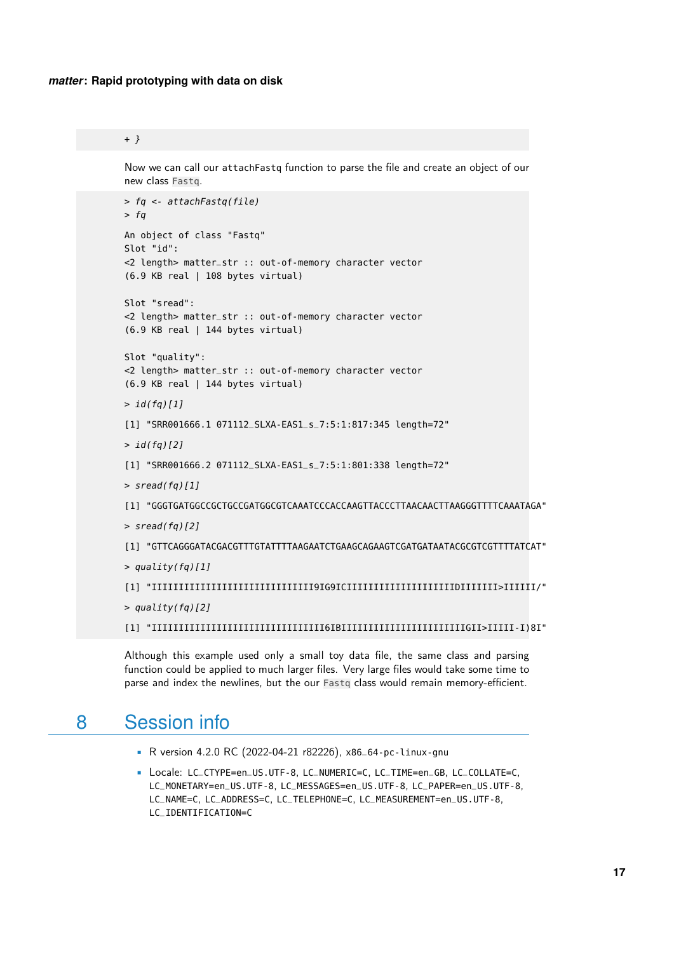```
+ }
```
Now we can call our attachFastq function to parse the file and create an object of our new class Fastq.

```
> fq <- attachFastq(file)
> fq
An object of class "Fastq"
Slot "id":
<2 length> matter_str :: out-of-memory character vector
(6.9 KB real | 108 bytes virtual)
Slot "sread":
<2 length> matter_str :: out-of-memory character vector
(6.9 KB real | 144 bytes virtual)
Slot "quality":
<2 length> matter_str :: out-of-memory character vector
(6.9 KB real | 144 bytes virtual)
> id(fq)[1]
[1] "SRR001666.1 071112_SLXA-EAS1_s_7:5:1:817:345 length=72"
> id(fq)[2][1] "SRR001666.2 071112_SLXA-EAS1_s_7:5:1:801:338 length=72"
> sread(fq)[1]
[1] "GGGTGATGGCCGCTGCCGATGGCGTCAAATCCCACCAAGTTACCCTTAACAACTTAAGGGTTTTCAAATAGA"
> sread(fq)[2]
[1] "GTTCAGGGATACGACGTTTGTATTTTAAGAATCTGAAGCAGAAGTCGATGATAATACGCGTCGTTTTATCAT"
> quality(fq)[1]
[1] "IIIIIIIIIIIIIIIIIIIIIIIIIIIIII9IG9ICIIIIIIIIIIIIIIIIIIIIDIIIIIII>IIIIII/"
> quality(fq)[2]
[1] "IIIIIIIIIIIIIIIIIIIIIIIIIIIIIIII6IBIIIIIIIIIIIIIIIIIIIIIIIGII>IIIII-I)8I"
```
Although this example used only a small toy data file, the same class and parsing function could be applied to much larger files. Very large files would take some time to parse and index the newlines, but the our Fastq class would remain memory-efficient.

## <span id="page-16-0"></span>8 Session info

- R version 4.2.0 RC (2022-04-21 r82226), x86\_64-pc-linux-gnu
- Locale: LC\_CTYPE=en\_US.UTF-8, LC\_NUMERIC=C, LC\_TIME=en\_GB, LC\_COLLATE=C, LC\_MONETARY=en\_US.UTF-8, LC\_MESSAGES=en\_US.UTF-8, LC\_PAPER=en\_US.UTF-8, LC\_NAME=C, LC\_ADDRESS=C, LC\_TELEPHONE=C, LC\_MEASUREMENT=en\_US.UTF-8, LC\_IDENTIFICATION=C